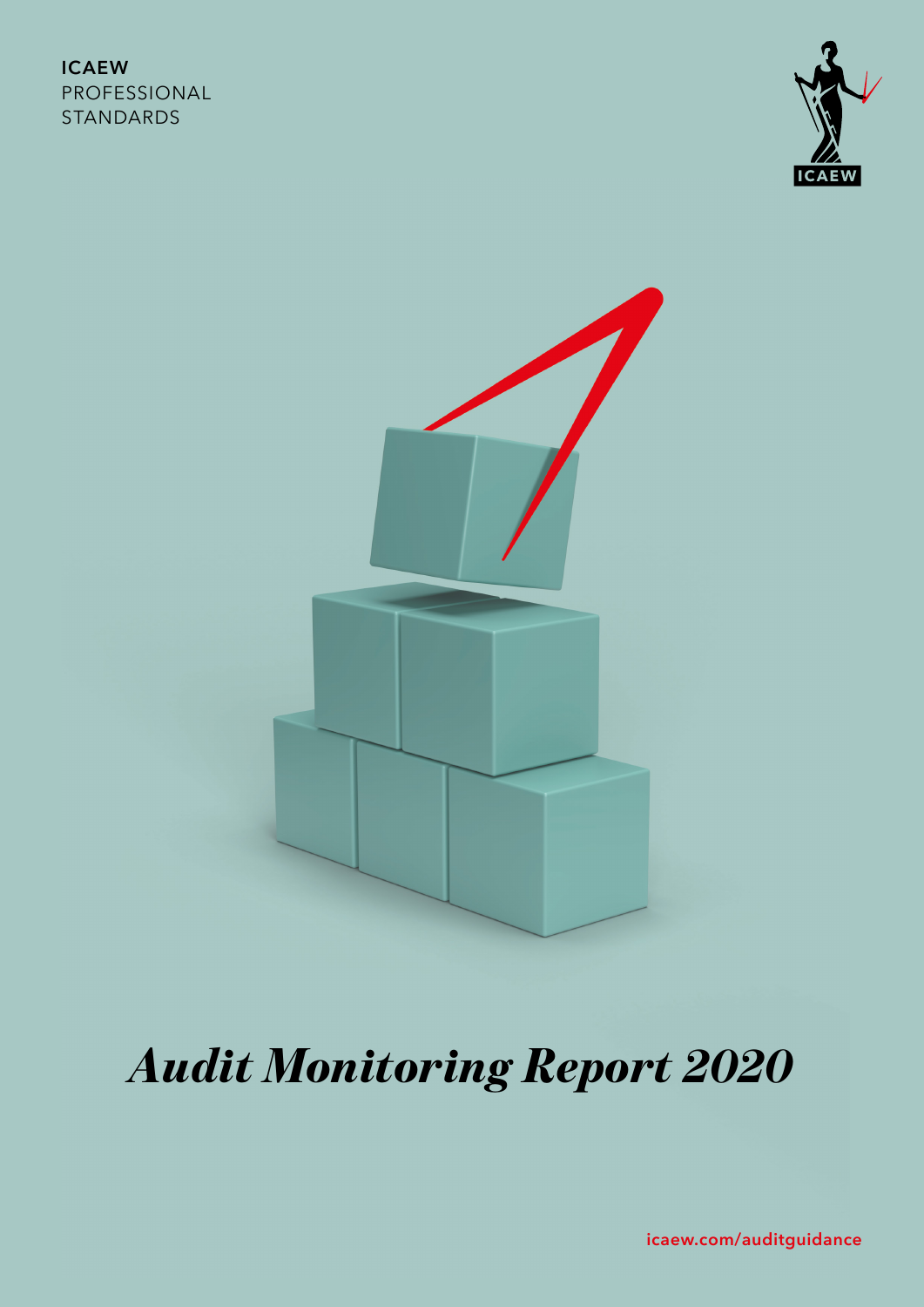### **ICAEW** PROFESSIONAL STANDARDS





# *Audit Monitoring Report 2020*

**[icaew.com/auditguidance](http://icaew.com/auditguidance)**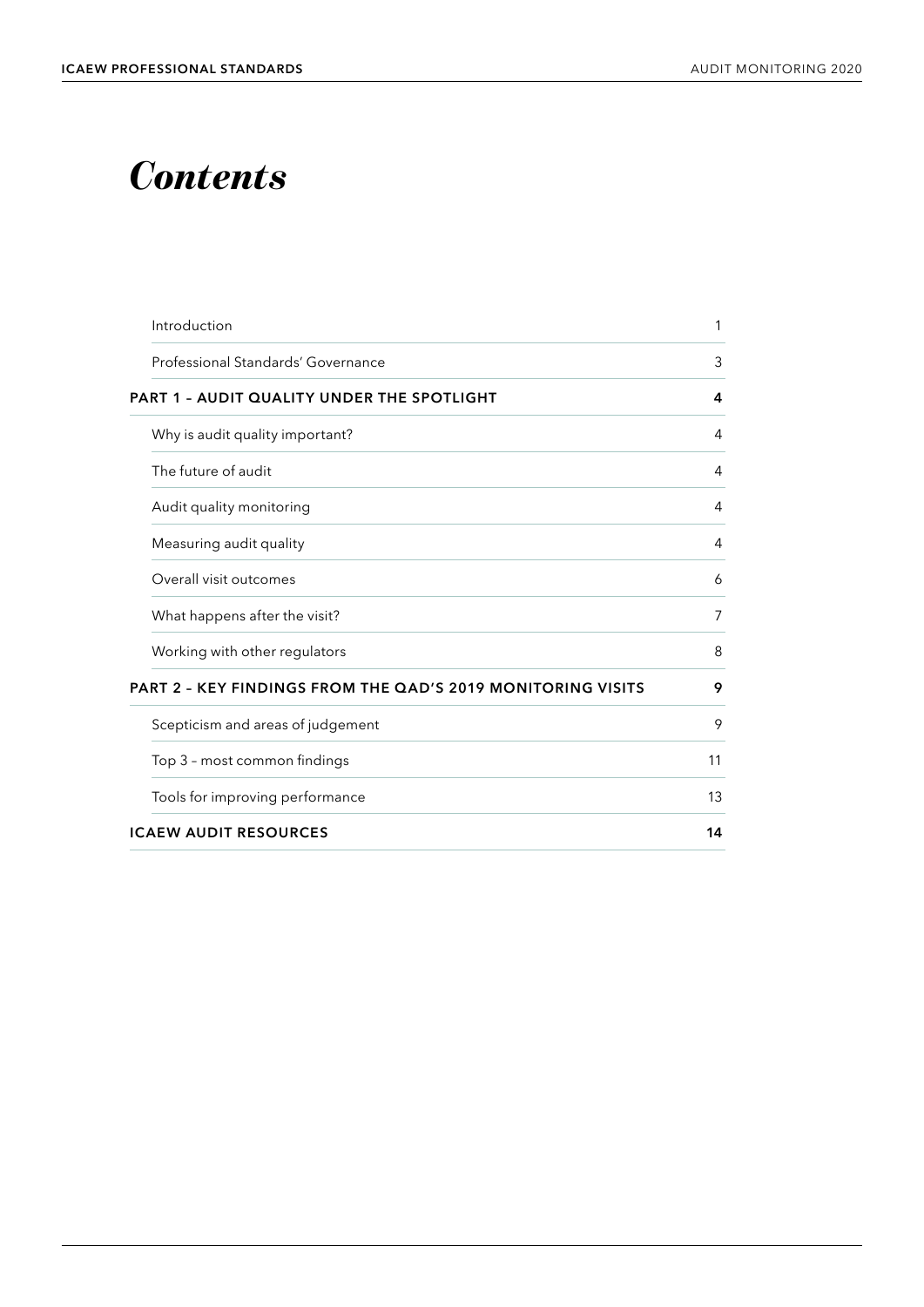## *Contents*

| Introduction                                                | 1  |
|-------------------------------------------------------------|----|
| Professional Standards' Governance                          | 3  |
| PART 1 - AUDIT QUALITY UNDER THE SPOTLIGHT                  | 4  |
| Why is audit quality important?                             | 4  |
| The future of audit                                         | 4  |
| Audit quality monitoring                                    | 4  |
| Measuring audit quality                                     | 4  |
| Overall visit outcomes                                      | 6  |
| What happens after the visit?                               | 7  |
| Working with other regulators                               | 8  |
| PART 2 - KEY FINDINGS FROM THE QAD'S 2019 MONITORING VISITS | 9  |
| Scepticism and areas of judgement                           | 9  |
| Top 3 - most common findings                                | 11 |
| Tools for improving performance                             | 13 |
| <b>ICAEW AUDIT RESOURCES</b>                                | 14 |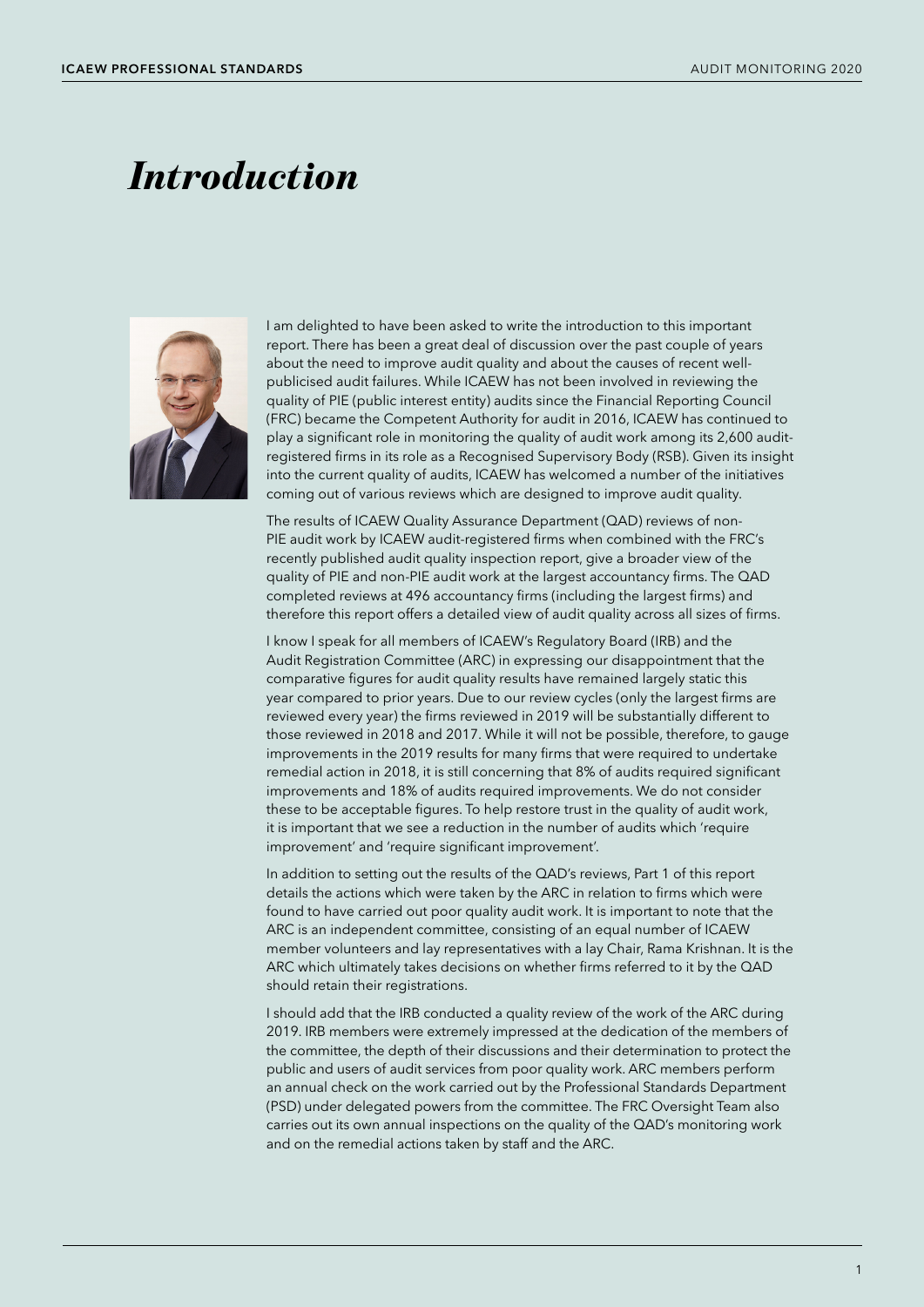## *Introduction*



I am delighted to have been asked to write the introduction to this important report. There has been a great deal of discussion over the past couple of years about the need to improve audit quality and about the causes of recent wellpublicised audit failures. While ICAEW has not been involved in reviewing the quality of PIE (public interest entity) audits since the Financial Reporting Council (FRC) became the Competent Authority for audit in 2016, ICAEW has continued to play a significant role in monitoring the quality of audit work among its 2,600 auditregistered firms in its role as a Recognised Supervisory Body (RSB). Given its insight into the current quality of audits, ICAEW has welcomed a number of the initiatives coming out of various reviews which are designed to improve audit quality.

The results of ICAEW Quality Assurance Department (QAD) reviews of non-PIE audit work by ICAEW audit-registered firms when combined with the FRC's recently published audit quality inspection report, give a broader view of the quality of PIE and non-PIE audit work at the largest accountancy firms. The QAD completed reviews at 496 accountancy firms (including the largest firms) and therefore this report offers a detailed view of audit quality across all sizes of firms.

I know I speak for all members of ICAEW's Regulatory Board (IRB) and the Audit Registration Committee (ARC) in expressing our disappointment that the comparative figures for audit quality results have remained largely static this year compared to prior years. Due to our review cycles (only the largest firms are reviewed every year) the firms reviewed in 2019 will be substantially different to those reviewed in 2018 and 2017. While it will not be possible, therefore, to gauge improvements in the 2019 results for many firms that were required to undertake remedial action in 2018, it is still concerning that 8% of audits required significant improvements and 18% of audits required improvements. We do not consider these to be acceptable figures. To help restore trust in the quality of audit work, it is important that we see a reduction in the number of audits which 'require improvement' and 'require significant improvement'.

In addition to setting out the results of the QAD's reviews, Part 1 of this report details the actions which were taken by the ARC in relation to firms which were found to have carried out poor quality audit work. It is important to note that the ARC is an independent committee, consisting of an equal number of ICAEW member volunteers and lay representatives with a lay Chair, Rama Krishnan. It is the ARC which ultimately takes decisions on whether firms referred to it by the QAD should retain their registrations.

I should add that the IRB conducted a quality review of the work of the ARC during 2019. IRB members were extremely impressed at the dedication of the members of the committee, the depth of their discussions and their determination to protect the public and users of audit services from poor quality work. ARC members perform an annual check on the work carried out by the Professional Standards Department (PSD) under delegated powers from the committee. The FRC Oversight Team also carries out its own annual inspections on the quality of the QAD's monitoring work and on the remedial actions taken by staff and the ARC.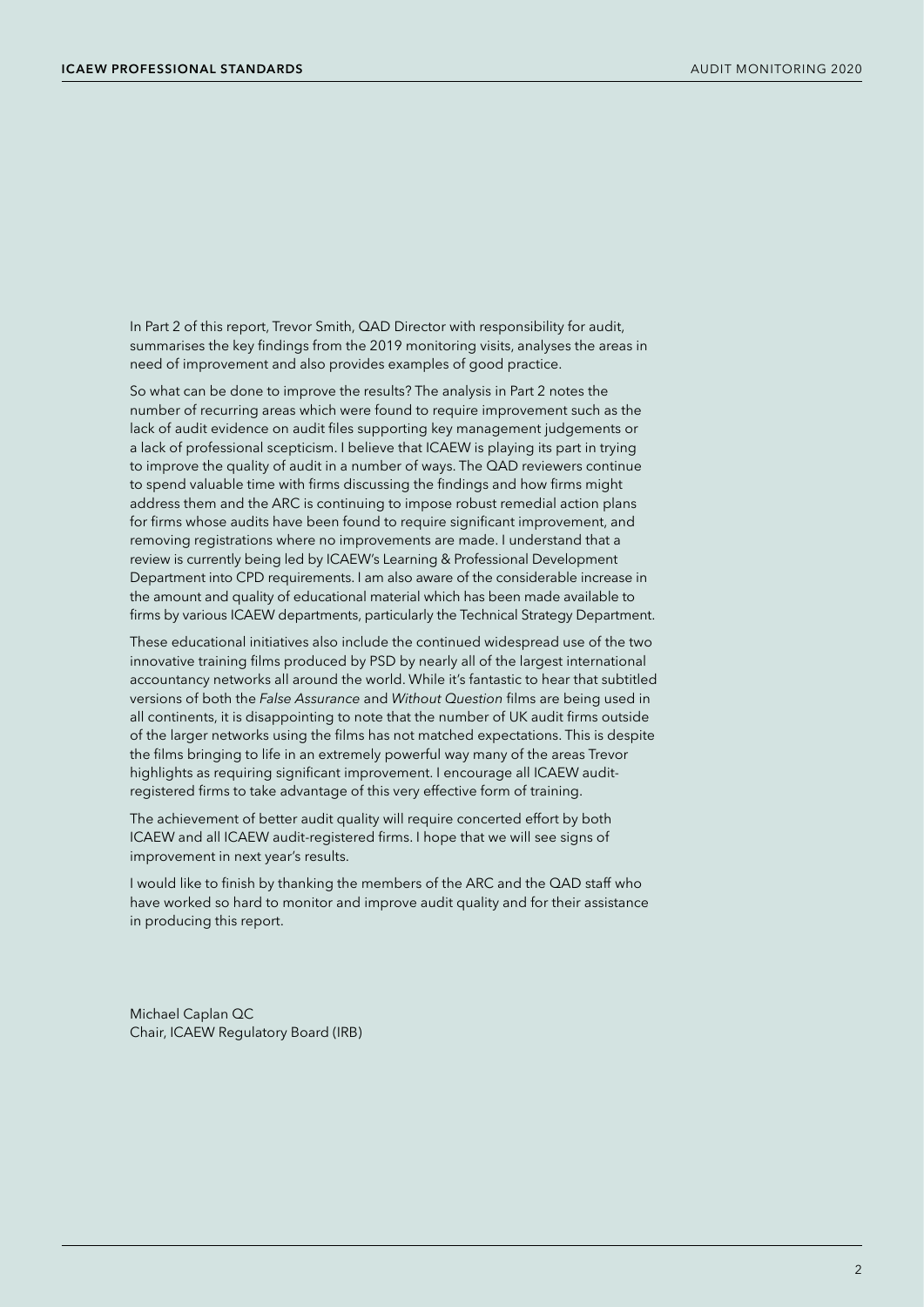In Part 2 of this report, Trevor Smith, QAD Director with responsibility for audit, summarises the key findings from the 2019 monitoring visits, analyses the areas in need of improvement and also provides examples of good practice.

So what can be done to improve the results? The analysis in Part 2 notes the number of recurring areas which were found to require improvement such as the lack of audit evidence on audit files supporting key management judgements or a lack of professional scepticism. I believe that ICAEW is playing its part in trying to improve the quality of audit in a number of ways. The QAD reviewers continue to spend valuable time with firms discussing the findings and how firms might address them and the ARC is continuing to impose robust remedial action plans for firms whose audits have been found to require significant improvement, and removing registrations where no improvements are made. I understand that a review is currently being led by ICAEW's Learning & Professional Development Department into CPD requirements. I am also aware of the considerable increase in the amount and quality of educational material which has been made available to firms by various ICAEW departments, particularly the Technical Strategy Department.

These educational initiatives also include the continued widespread use of the two innovative training films produced by PSD by nearly all of the largest international accountancy networks all around the world. While it's fantastic to hear that subtitled versions of both the *False Assurance* and *Without Question* films are being used in all continents, it is disappointing to note that the number of UK audit firms outside of the larger networks using the films has not matched expectations. This is despite the films bringing to life in an extremely powerful way many of the areas Trevor highlights as requiring significant improvement. I encourage all ICAEW auditregistered firms to take advantage of this very effective form of training.

The achievement of better audit quality will require concerted effort by both ICAEW and all ICAEW audit-registered firms. I hope that we will see signs of improvement in next year's results.

I would like to finish by thanking the members of the ARC and the QAD staff who have worked so hard to monitor and improve audit quality and for their assistance in producing this report.

Michael Caplan QC Chair, ICAEW Regulatory Board (IRB)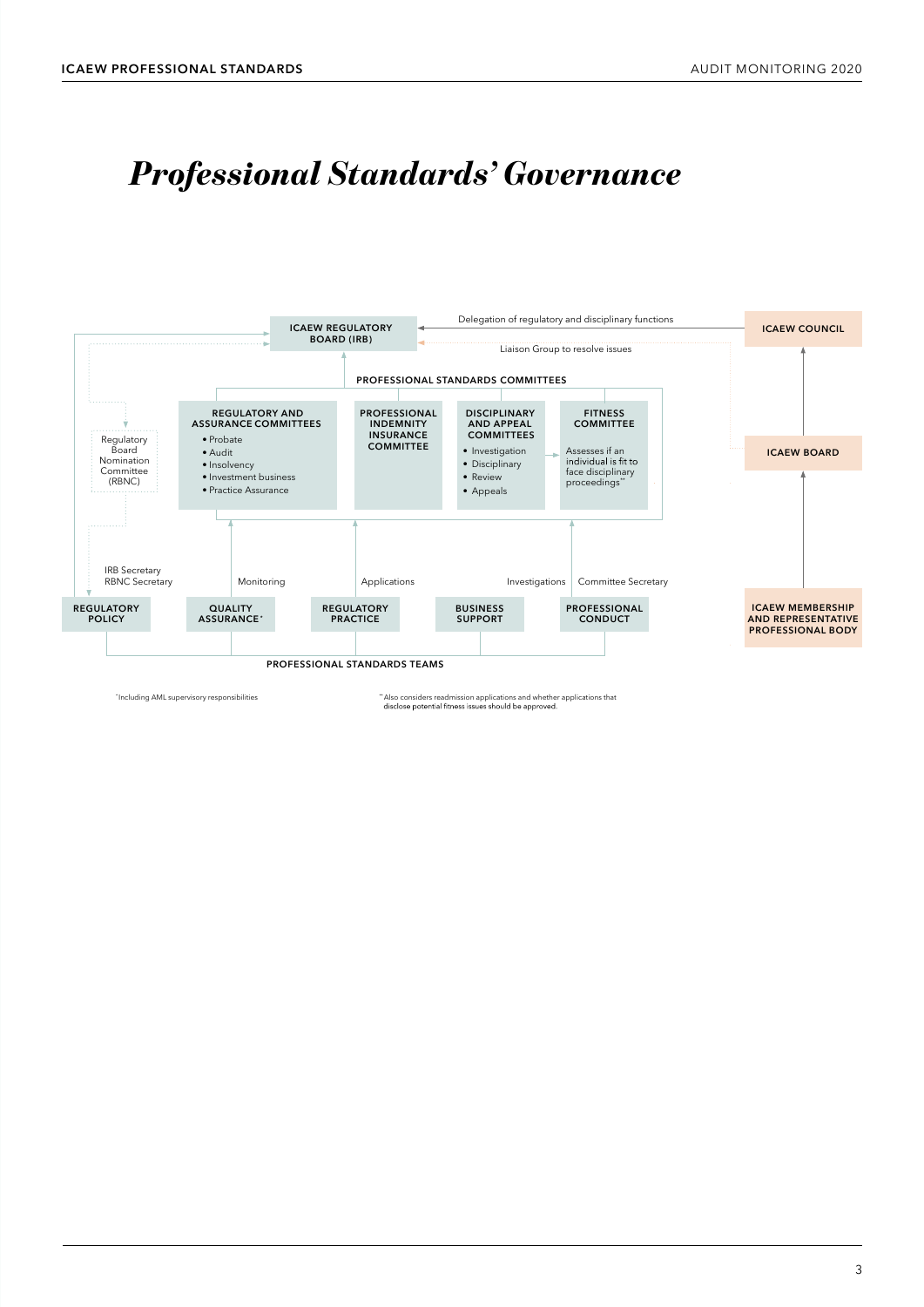### *Professional Standards' Governance Professional Standards' Governance*



\*Including AML supervisory responsibilities that the supervisors of the supervisor applications and whether applications that the disclose potential fitness issues should be approved.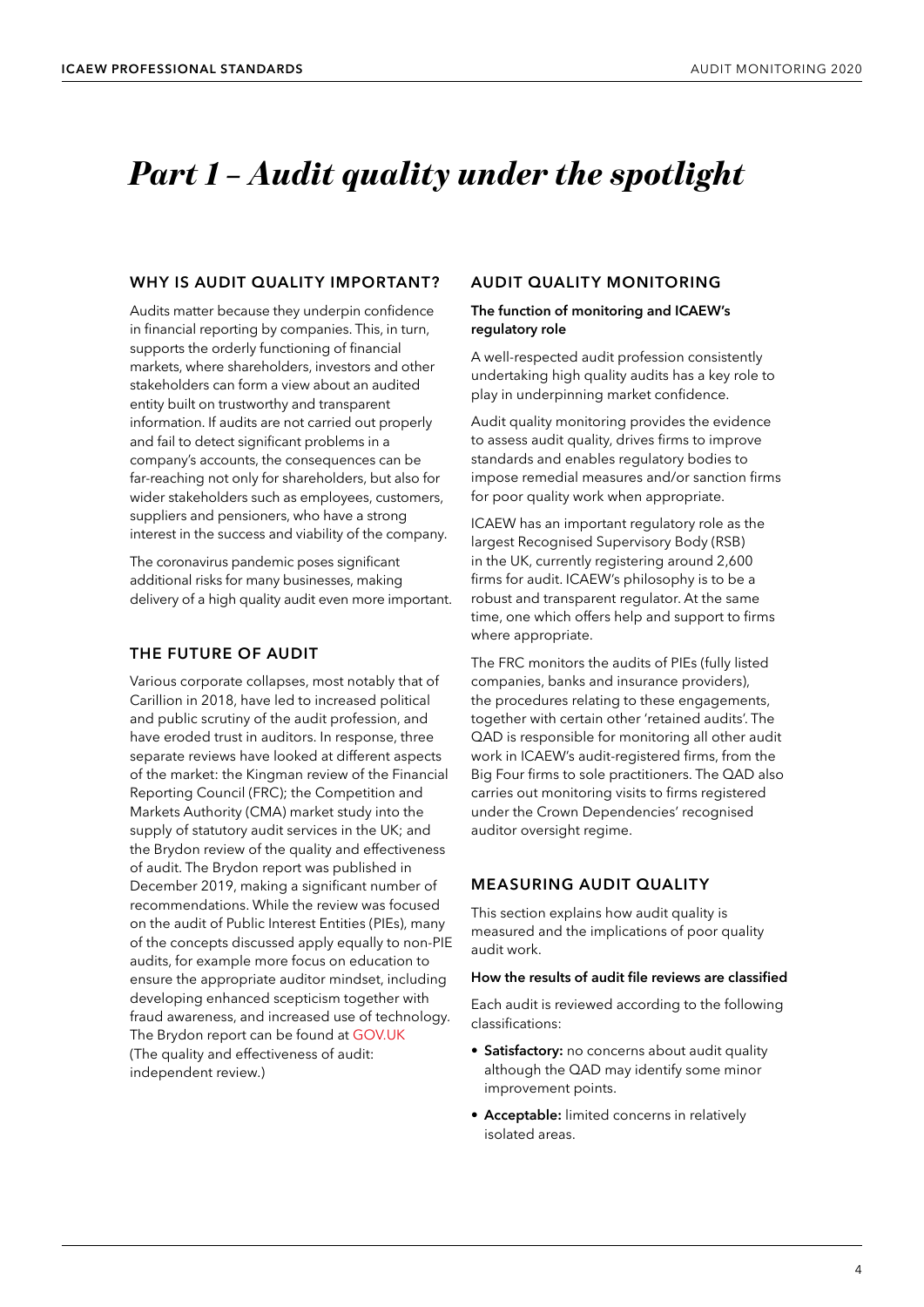### <span id="page-5-0"></span>*Part 1 – Audit quality under the spotlight*

#### **WHY IS AUDIT QUALITY IMPORTANT?**

Audits matter because they underpin confidence in financial reporting by companies. This, in turn, supports the orderly functioning of financial markets, where shareholders, investors and other stakeholders can form a view about an audited entity built on trustworthy and transparent information. If audits are not carried out properly and fail to detect significant problems in a company's accounts, the consequences can be far-reaching not only for shareholders, but also for wider stakeholders such as employees, customers, suppliers and pensioners, who have a strong interest in the success and viability of the company.

The coronavirus pandemic poses significant additional risks for many businesses, making delivery of a high quality audit even more important.

#### **THE FUTURE OF AUDIT**

Various corporate collapses, most notably that of Carillion in 2018, have led to increased political and public scrutiny of the audit profession, and have eroded trust in auditors. In response, three separate reviews have looked at different aspects of the market: the Kingman review of the Financial Reporting Council (FRC); the Competition and Markets Authority (CMA) market study into the supply of statutory audit services in the UK; and the Brydon review of the quality and effectiveness of audit. The Brydon report was published in December 2019, making a significant number of recommendations. While the review was focused on the audit of Public Interest Entities (PIEs), many of the concepts discussed apply equally to non-PIE audits, for example more focus on education to ensure the appropriate auditor mindset, including developing enhanced scepticism together with fraud awareness, and increased use of technology. The Brydon report can be found at [GOV.UK](www.gov.uk/government/publications/the-quality-and-effectiveness-of-audit-independent-review) (The quality and effectiveness of audit: independent review.)

#### **AUDIT QUALITY MONITORING**

#### **The function of monitoring and ICAEW's regulatory role**

A well-respected audit profession consistently undertaking high quality audits has a key role to play in underpinning market confidence.

Audit quality monitoring provides the evidence to assess audit quality, drives firms to improve standards and enables regulatory bodies to impose remedial measures and/or sanction firms for poor quality work when appropriate.

ICAEW has an important regulatory role as the largest Recognised Supervisory Body (RSB) in the UK, currently registering around 2,600 firms for audit. ICAEW's philosophy is to be a robust and transparent regulator. At the same time, one which offers help and support to firms where appropriate.

The FRC monitors the audits of PIEs (fully listed companies, banks and insurance providers), the procedures relating to these engagements, together with certain other 'retained audits'. The QAD is responsible for monitoring all other audit work in ICAEW's audit-registered firms, from the Big Four firms to sole practitioners. The QAD also carries out monitoring visits to firms registered under the Crown Dependencies' recognised auditor oversight regime.

#### **MEASURING AUDIT QUALITY**

This section explains how audit quality is measured and the implications of poor quality audit work.

#### **How the results of audit file reviews are classified**

Each audit is reviewed according to the following classifications:

- **Satisfactory:** no concerns about audit quality although the QAD may identify some minor improvement points.
- **Acceptable:** limited concerns in relatively isolated areas.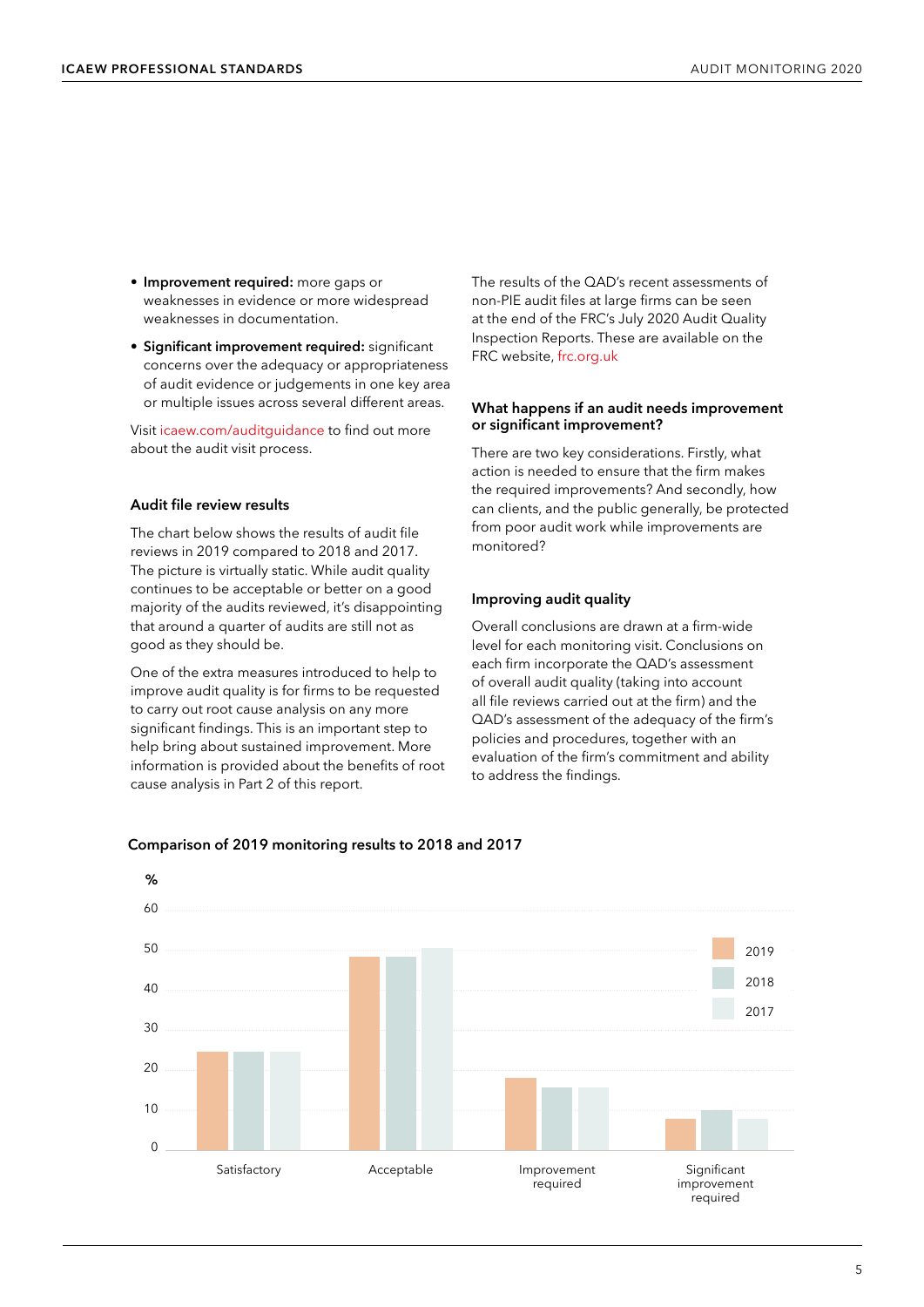- **Improvement required:** more gaps or weaknesses in evidence or more widespread weaknesses in documentation.
- **Significant improvement required:** significant concerns over the adequacy or appropriateness of audit evidence or judgements in one key area or multiple issues across several different areas.

Visit [icaew.com/auditguidance](www.icaew.com/auditguidance) to find out more about the audit visit process.

#### **Audit file review results**

The chart below shows the results of audit file reviews in 2019 compared to 2018 and 2017. The picture is virtually static. While audit quality continues to be acceptable or better on a good majority of the audits reviewed, it's disappointing that around a quarter of audits are still not as good as they should be.

One of the extra measures introduced to help to improve audit quality is for firms to be requested to carry out root cause analysis on any more significant findings. This is an important step to help bring about sustained improvement. More information is provided about the benefits of root cause analysis in Part 2 of this report.

The results of the QAD's recent assessments of non-PIE audit files at large firms can be seen at the end of the FRC's July 2020 Audit Quality Inspection Reports. These are available on the FRC website, [frc.org.uk](www.frc.org.uk/search?searchtext=July+2020+Audit+Quality+Inspection+Reports&searchmode=anyword)

#### **What happens if an audit needs improvement or significant improvement?**

There are two key considerations. Firstly, what action is needed to ensure that the firm makes the required improvements? And secondly, how can clients, and the public generally, be protected from poor audit work while improvements are monitored?

#### **Improving audit quality**

Overall conclusions are drawn at a firm-wide level for each monitoring visit. Conclusions on each firm incorporate the QAD's assessment of overall audit quality (taking into account all file reviews carried out at the firm) and the QAD's assessment of the adequacy of the firm's policies and procedures, together with an evaluation of the firm's commitment and ability to address the findings.



#### **Comparison of 2019 monitoring results to 2018 and 2017**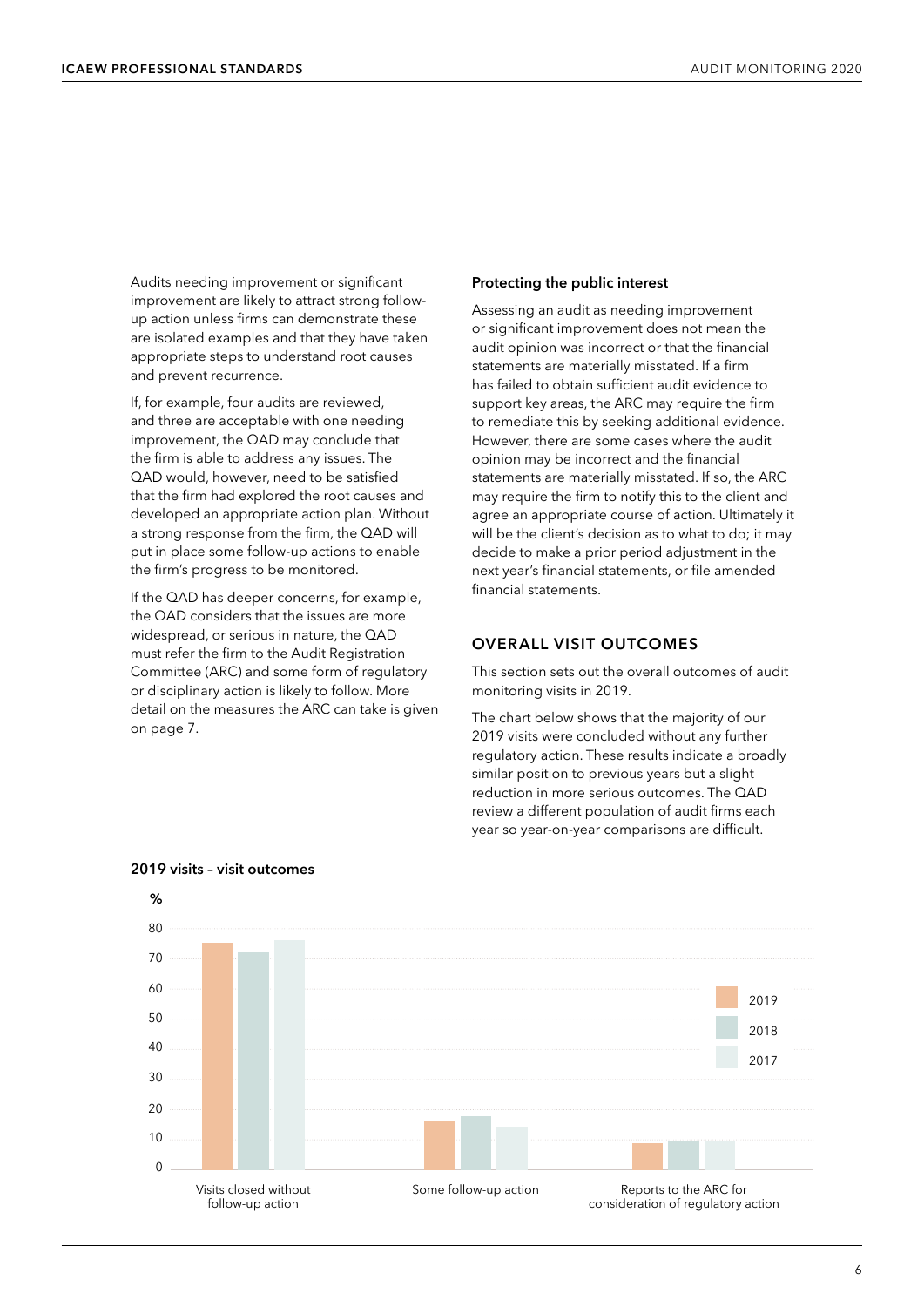<span id="page-7-0"></span>Audits needing improvement or significant improvement are likely to attract strong followup action unless firms can demonstrate these are isolated examples and that they have taken appropriate steps to understand root causes and prevent recurrence.

If, for example, four audits are reviewed, and three are acceptable with one needing improvement, the QAD may conclude that the firm is able to address any issues. The QAD would, however, need to be satisfied that the firm had explored the root causes and developed an appropriate action plan. Without a strong response from the firm, the QAD will put in place some follow-up actions to enable the firm's progress to be monitored.

If the QAD has deeper concerns, for example, the QAD considers that the issues are more widespread, or serious in nature, the QAD must refer the firm to the Audit Registration Committee (ARC) and some form of regulatory or disciplinary action is likely to follow. More detail on the measures the ARC can take is given on page 7.

#### **Protecting the public interest**

Assessing an audit as needing improvement or significant improvement does not mean the audit opinion was incorrect or that the financial statements are materially misstated. If a firm has failed to obtain sufficient audit evidence to support key areas, the ARC may require the firm to remediate this by seeking additional evidence. However, there are some cases where the audit opinion may be incorrect and the financial statements are materially misstated. If so, the ARC may require the firm to notify this to the client and agree an appropriate course of action. Ultimately it will be the client's decision as to what to do; it may decide to make a prior period adjustment in the next year's financial statements, or file amended financial statements.

#### **OVERALL VISIT OUTCOMES**

This section sets out the overall outcomes of audit monitoring visits in 2019.

The chart below shows that the majority of our 2019 visits were concluded without any further regulatory action. These results indicate a broadly similar position to previous years but a slight reduction in more serious outcomes. The QAD review a different population of audit firms each year so year-on-year comparisons are difficult.



#### **2019 visits – visit outcomes**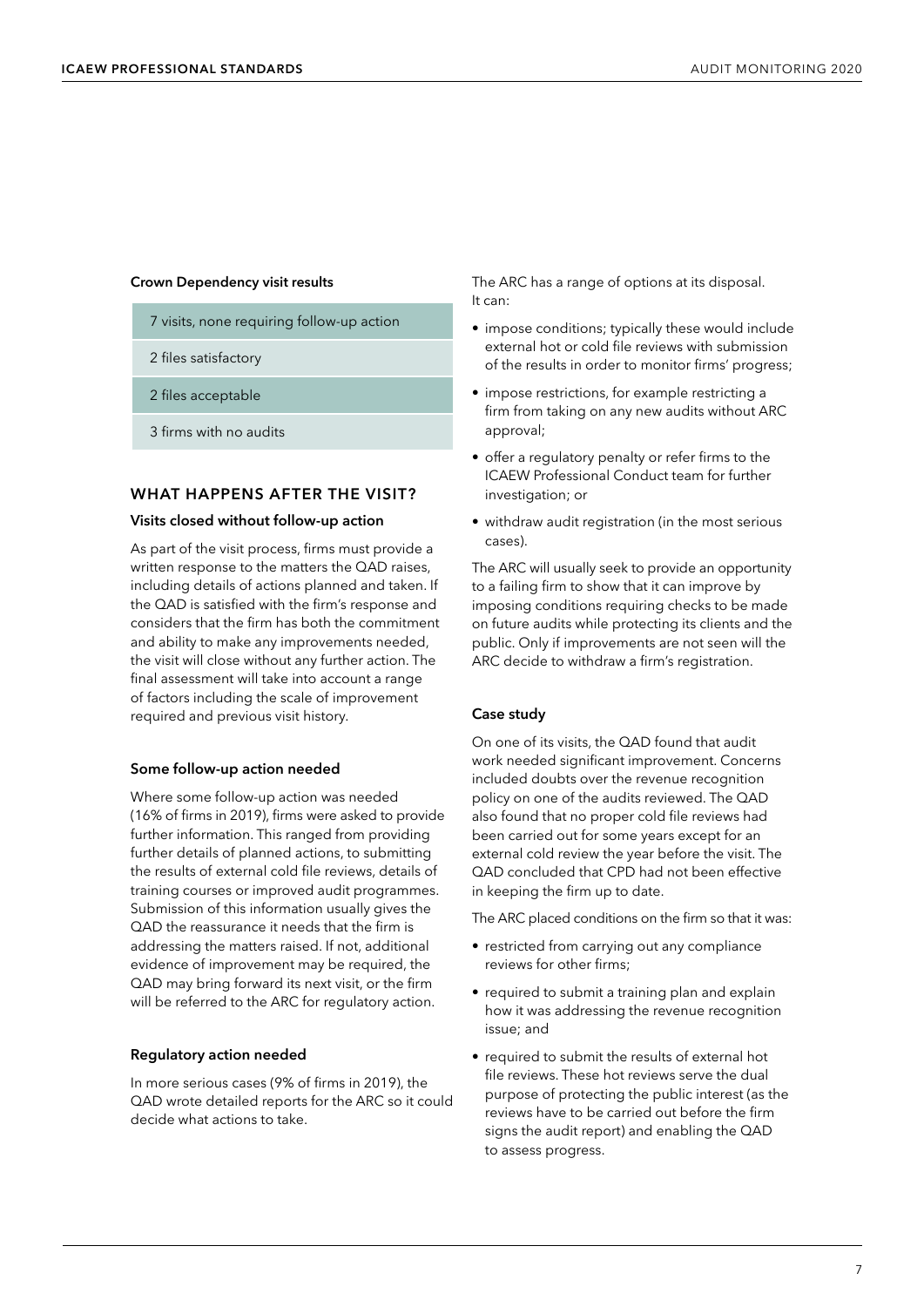#### **Crown Dependency visit results**

- 7 visits, none requiring follow-up action
- 2 files satisfactory
- 2 files acceptable
- 3 firms with no audits

#### **WHAT HAPPENS AFTER THE VISIT?**

#### **Visits closed without follow-up action**

As part of the visit process, firms must provide a written response to the matters the QAD raises, including details of actions planned and taken. If the QAD is satisfied with the firm's response and considers that the firm has both the commitment and ability to make any improvements needed, the visit will close without any further action. The final assessment will take into account a range of factors including the scale of improvement required and previous visit history.

#### **Some follow-up action needed**

Where some follow-up action was needed (16% of firms in 2019), firms were asked to provide further information. This ranged from providing further details of planned actions, to submitting the results of external cold file reviews, details of training courses or improved audit programmes. Submission of this information usually gives the QAD the reassurance it needs that the firm is addressing the matters raised. If not, additional evidence of improvement may be required, the QAD may bring forward its next visit, or the firm will be referred to the ARC for regulatory action.

#### **Regulatory action needed**

In more serious cases (9% of firms in 2019), the QAD wrote detailed reports for the ARC so it could decide what actions to take.

The ARC has a range of options at its disposal. It can:

- impose conditions; typically these would include external hot or cold file reviews with submission of the results in order to monitor firms' progress;
- impose restrictions, for example restricting a firm from taking on any new audits without ARC approval;
- offer a regulatory penalty or refer firms to the ICAEW Professional Conduct team for further investigation; or
- withdraw audit registration (in the most serious cases).

The ARC will usually seek to provide an opportunity to a failing firm to show that it can improve by imposing conditions requiring checks to be made on future audits while protecting its clients and the public. Only if improvements are not seen will the ARC decide to withdraw a firm's registration.

#### **Case study**

On one of its visits, the QAD found that audit work needed significant improvement. Concerns included doubts over the revenue recognition policy on one of the audits reviewed. The QAD also found that no proper cold file reviews had been carried out for some years except for an external cold review the year before the visit. The QAD concluded that CPD had not been effective in keeping the firm up to date.

The ARC placed conditions on the firm so that it was:

- restricted from carrying out any compliance reviews for other firms;
- required to submit a training plan and explain how it was addressing the revenue recognition issue; and
- required to submit the results of external hot file reviews. These hot reviews serve the dual purpose of protecting the public interest (as the reviews have to be carried out before the firm signs the audit report) and enabling the QAD to assess progress.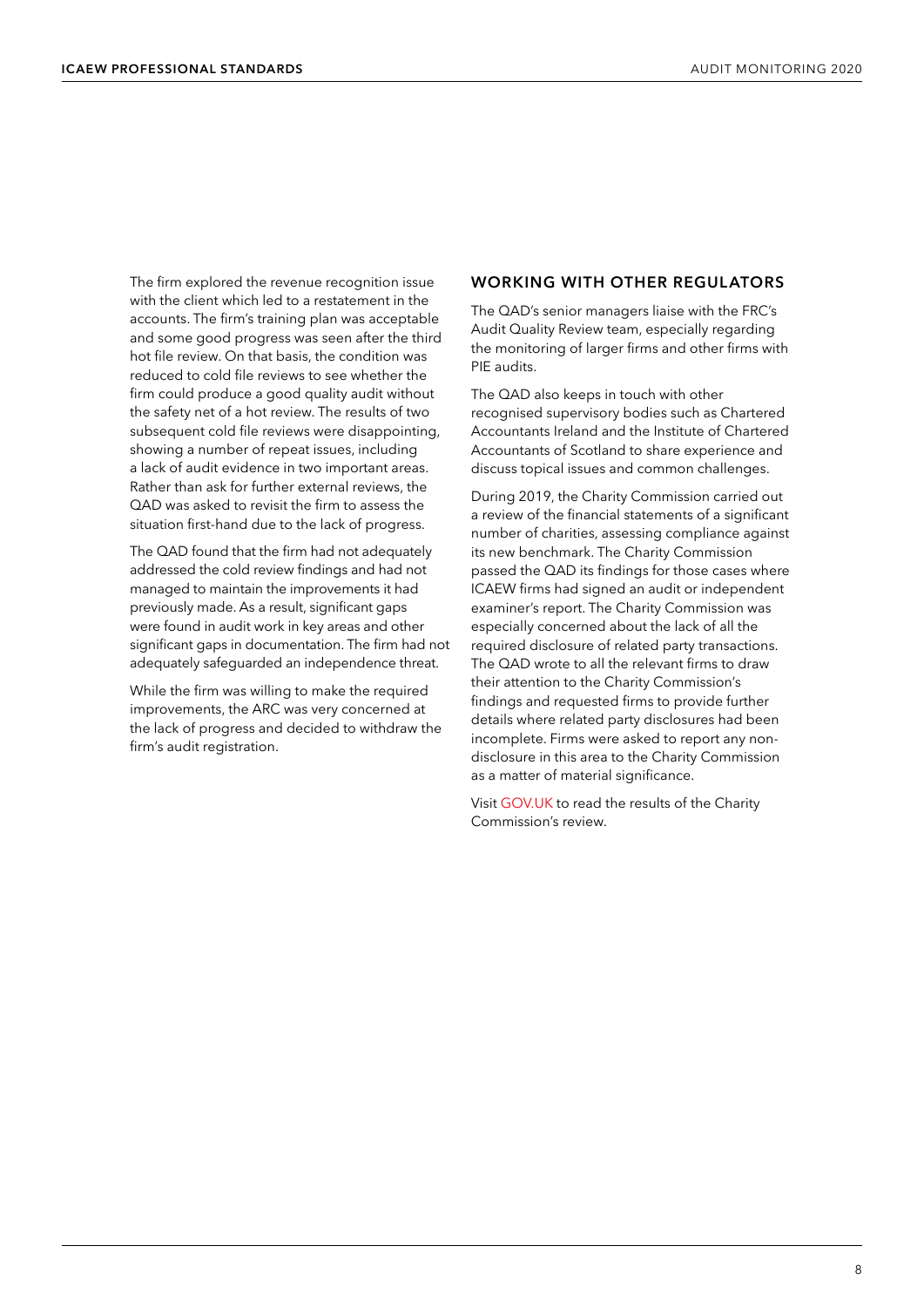<span id="page-9-0"></span>The firm explored the revenue recognition issue with the client which led to a restatement in the accounts. The firm's training plan was acceptable and some good progress was seen after the third hot file review. On that basis, the condition was reduced to cold file reviews to see whether the firm could produce a good quality audit without the safety net of a hot review. The results of two subsequent cold file reviews were disappointing, showing a number of repeat issues, including a lack of audit evidence in two important areas. Rather than ask for further external reviews, the QAD was asked to revisit the firm to assess the situation first-hand due to the lack of progress.

The QAD found that the firm had not adequately addressed the cold review findings and had not managed to maintain the improvements it had previously made. As a result, significant gaps were found in audit work in key areas and other significant gaps in documentation. The firm had not adequately safeguarded an independence threat.

While the firm was willing to make the required improvements, the ARC was very concerned at the lack of progress and decided to withdraw the firm's audit registration.

#### **WORKING WITH OTHER REGULATORS**

The QAD's senior managers liaise with the FRC's Audit Quality Review team, especially regarding the monitoring of larger firms and other firms with PIE audits.

The QAD also keeps in touch with other recognised supervisory bodies such as Chartered Accountants Ireland and the Institute of Chartered Accountants of Scotland to share experience and discuss topical issues and common challenges.

During 2019, the Charity Commission carried out a review of the financial statements of a significant number of charities, assessing compliance against its new benchmark. The Charity Commission passed the QAD its findings for those cases where ICAEW firms had signed an audit or independent examiner's report. The Charity Commission was especially concerned about the lack of all the required disclosure of related party transactions. The QAD wrote to all the relevant firms to draw their attention to the Charity Commission's findings and requested firms to provide further details where related party disclosures had been incomplete. Firms were asked to report any nondisclosure in this area to the Charity Commission as a matter of material significance.

Visit [GOV.UK](www.gov.uk/government/news/charity-regulator-concerned-by-quality-of-external-scrutiny-of-charity-accounts) to read the results of the Charity Commission's review.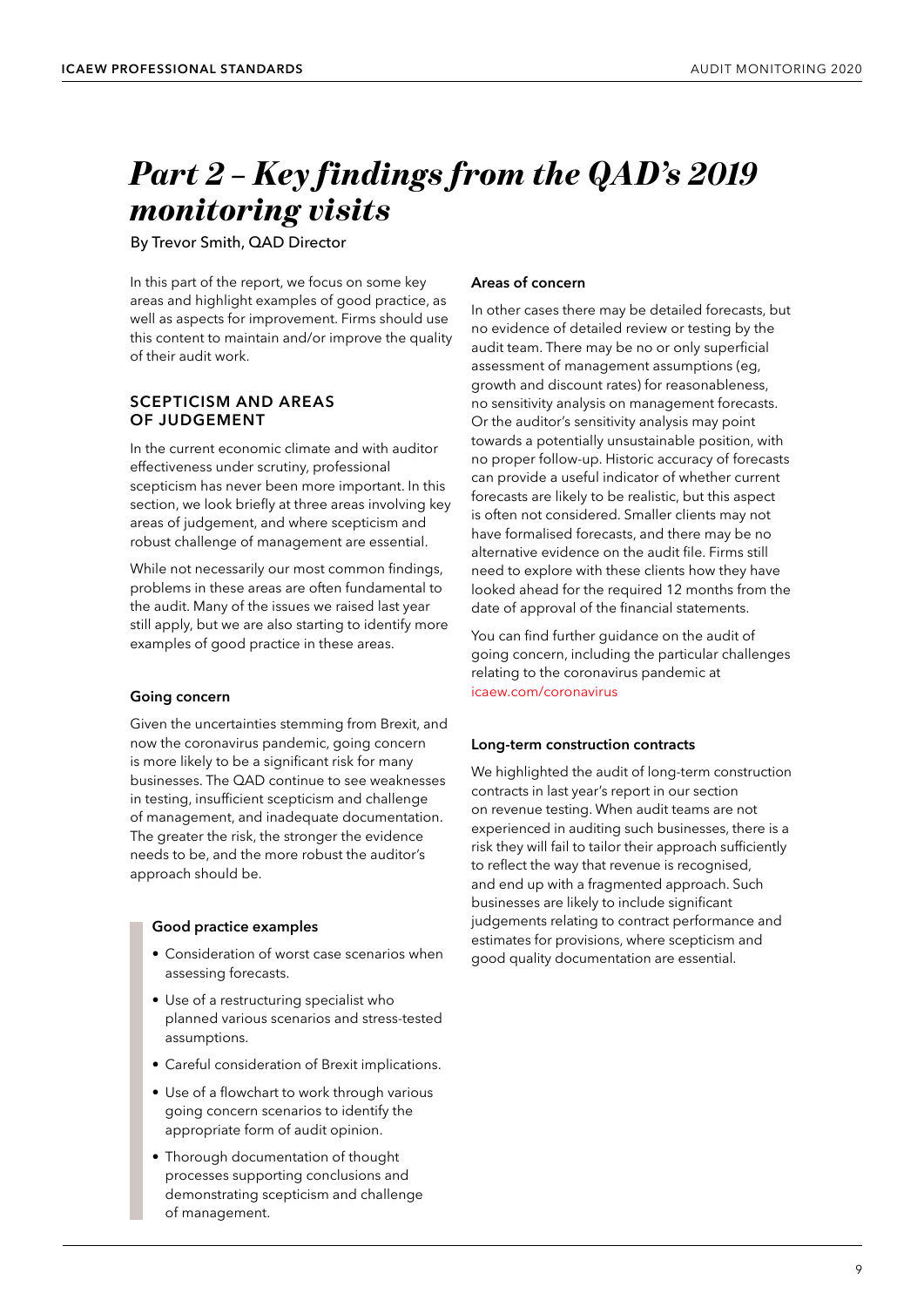### <span id="page-10-0"></span>*Part 2 – Key findings from the QAD's 2019 monitoring visits*

By Trevor Smith, QAD Director

In this part of the report, we focus on some key areas and highlight examples of good practice, as well as aspects for improvement. Firms should use this content to maintain and/or improve the quality of their audit work.

#### **SCEPTICISM AND AREAS OF JUDGEMENT**

In the current economic climate and with auditor effectiveness under scrutiny, professional scepticism has never been more important. In this section, we look briefly at three areas involving key areas of judgement, and where scepticism and robust challenge of management are essential.

While not necessarily our most common findings, problems in these areas are often fundamental to the audit. Many of the issues we raised last year still apply, but we are also starting to identify more examples of good practice in these areas.

#### **Going concern**

Given the uncertainties stemming from Brexit, and now the coronavirus pandemic, going concern is more likely to be a significant risk for many businesses. The QAD continue to see weaknesses in testing, insufficient scepticism and challenge of management, and inadequate documentation. The greater the risk, the stronger the evidence needs to be, and the more robust the auditor's approach should be.

#### **Good practice examples**

- Consideration of worst case scenarios when assessing forecasts.
- Use of a restructuring specialist who planned various scenarios and stress-tested assumptions.
- Careful consideration of Brexit implications.
- Use of a flowchart to work through various going concern scenarios to identify the appropriate form of audit opinion.
- Thorough documentation of thought processes supporting conclusions and demonstrating scepticism and challenge of management.

#### **Areas of concern**

In other cases there may be detailed forecasts, but no evidence of detailed review or testing by the audit team. There may be no or only superficial assessment of management assumptions (eg, growth and discount rates) for reasonableness, no sensitivity analysis on management forecasts. Or the auditor's sensitivity analysis may point towards a potentially unsustainable position, with no proper follow-up. Historic accuracy of forecasts can provide a useful indicator of whether current forecasts are likely to be realistic, but this aspect is often not considered. Smaller clients may not have formalised forecasts, and there may be no alternative evidence on the audit file. Firms still need to explore with these clients how they have looked ahead for the required 12 months from the date of approval of the financial statements.

You can find further guidance on the audit of going concern, including the particular challenges relating to the coronavirus pandemic at [icaew.com/coronavirus](www.icaew.com/coronavirus)

#### **Long-term construction contracts**

We highlighted the audit of long-term construction contracts in last year's report in our section on revenue testing. When audit teams are not experienced in auditing such businesses, there is a risk they will fail to tailor their approach sufficiently to reflect the way that revenue is recognised, and end up with a fragmented approach. Such businesses are likely to include significant judgements relating to contract performance and estimates for provisions, where scepticism and good quality documentation are essential.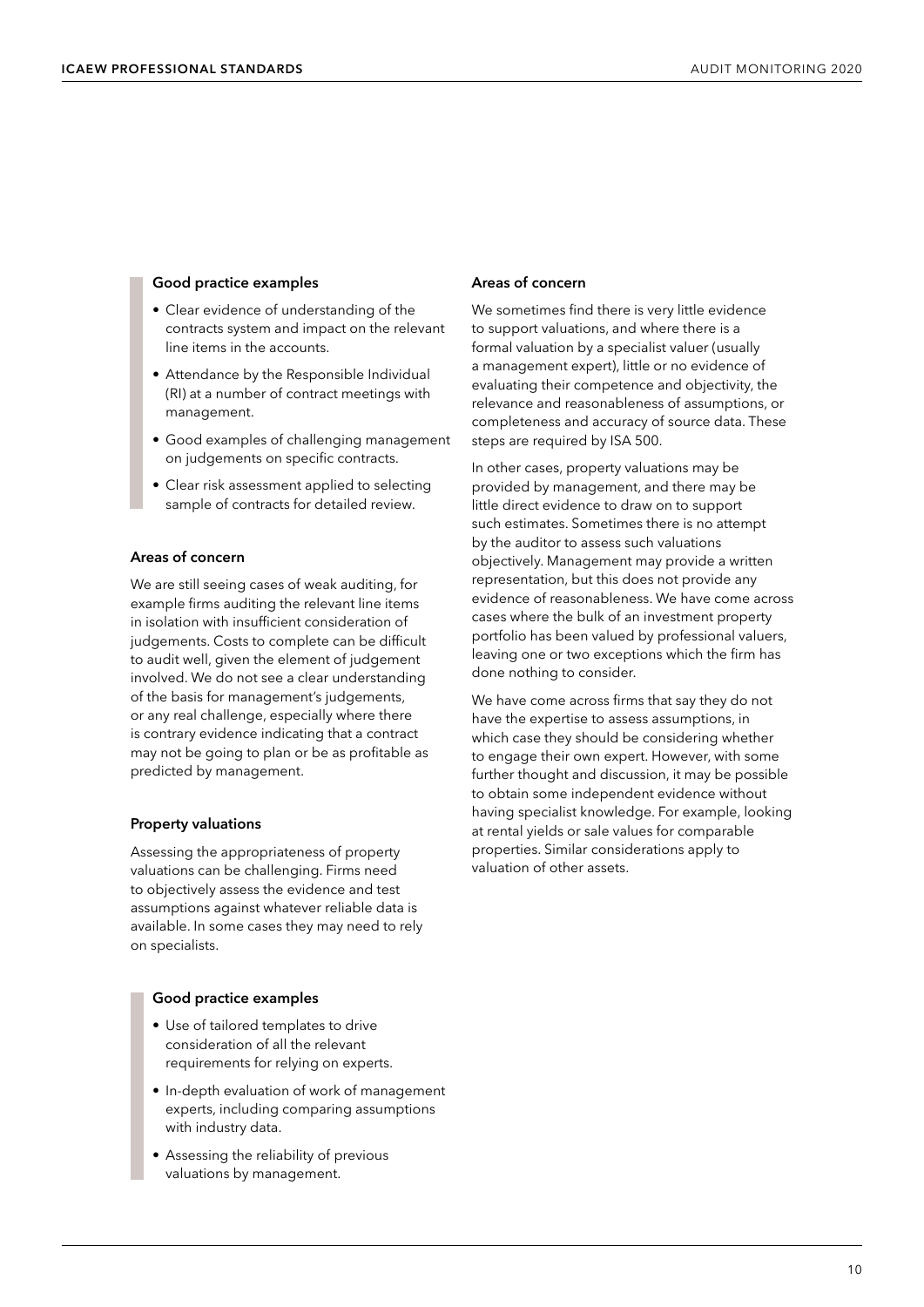#### **Good practice examples**

- Clear evidence of understanding of the contracts system and impact on the relevant line items in the accounts.
- Attendance by the Responsible Individual (RI) at a number of contract meetings with management.
- Good examples of challenging management on judgements on specific contracts.
- Clear risk assessment applied to selecting sample of contracts for detailed review.

#### **Areas of concern**

We are still seeing cases of weak auditing, for example firms auditing the relevant line items in isolation with insufficient consideration of judgements. Costs to complete can be difficult to audit well, given the element of judgement involved. We do not see a clear understanding of the basis for management's judgements, or any real challenge, especially where there is contrary evidence indicating that a contract may not be going to plan or be as profitable as predicted by management.

#### **Property valuations**

Assessing the appropriateness of property valuations can be challenging. Firms need to objectively assess the evidence and test assumptions against whatever reliable data is available. In some cases they may need to rely on specialists.

#### **Good practice examples**

- Use of tailored templates to drive consideration of all the relevant requirements for relying on experts.
- In-depth evaluation of work of management experts, including comparing assumptions with industry data.
- Assessing the reliability of previous valuations by management.

#### **Areas of concern**

We sometimes find there is very little evidence to support valuations, and where there is a formal valuation by a specialist valuer (usually a management expert), little or no evidence of evaluating their competence and objectivity, the relevance and reasonableness of assumptions, or completeness and accuracy of source data. These steps are required by ISA 500.

In other cases, property valuations may be provided by management, and there may be little direct evidence to draw on to support such estimates. Sometimes there is no attempt by the auditor to assess such valuations objectively. Management may provide a written representation, but this does not provide any evidence of reasonableness. We have come across cases where the bulk of an investment property portfolio has been valued by professional valuers, leaving one or two exceptions which the firm has done nothing to consider.

We have come across firms that say they do not have the expertise to assess assumptions, in which case they should be considering whether to engage their own expert. However, with some further thought and discussion, it may be possible to obtain some independent evidence without having specialist knowledge. For example, looking at rental yields or sale values for comparable properties. Similar considerations apply to valuation of other assets.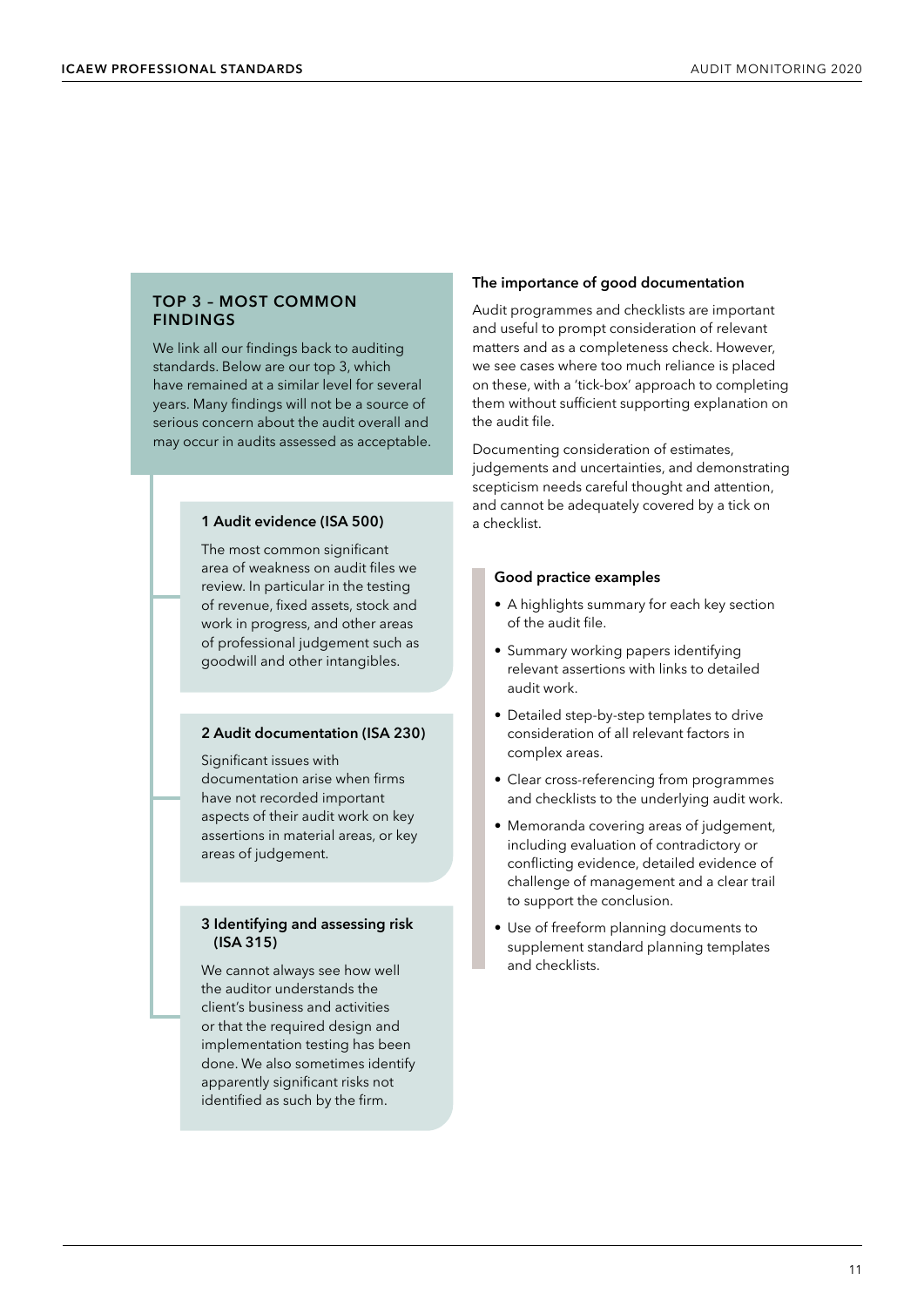#### <span id="page-12-0"></span>**TOP 3 – MOST COMMON FINDINGS**

We link all our findings back to auditing standards. Below are our top 3, which have remained at a similar level for several years. Many findings will not be a source of serious concern about the audit overall and may occur in audits assessed as acceptable.

#### **1 Audit evidence (ISA 500)**

The most common significant area of weakness on audit files we review. In particular in the testing of revenue, fixed assets, stock and work in progress, and other areas of professional judgement such as goodwill and other intangibles.

#### **2 Audit documentation (ISA 230)**

Significant issues with documentation arise when firms have not recorded important aspects of their audit work on key assertions in material areas, or key areas of judgement.

#### **3 Identifying and assessing risk (ISA 315)**

We cannot always see how well the auditor understands the client's business and activities or that the required design and implementation testing has been done. We also sometimes identify apparently significant risks not identified as such by the firm.

#### **The importance of good documentation**

Audit programmes and checklists are important and useful to prompt consideration of relevant matters and as a completeness check. However, we see cases where too much reliance is placed on these, with a 'tick-box' approach to completing them without sufficient supporting explanation on the audit file.

Documenting consideration of estimates, judgements and uncertainties, and demonstrating scepticism needs careful thought and attention, and cannot be adequately covered by a tick on a checklist.

#### **Good practice examples**

- A highlights summary for each key section of the audit file.
- Summary working papers identifying relevant assertions with links to detailed audit work.
- Detailed step-by-step templates to drive consideration of all relevant factors in complex areas.
- Clear cross-referencing from programmes and checklists to the underlying audit work.
- Memoranda covering areas of judgement, including evaluation of contradictory or conflicting evidence, detailed evidence of challenge of management and a clear trail to support the conclusion.
- Use of freeform planning documents to supplement standard planning templates and checklists.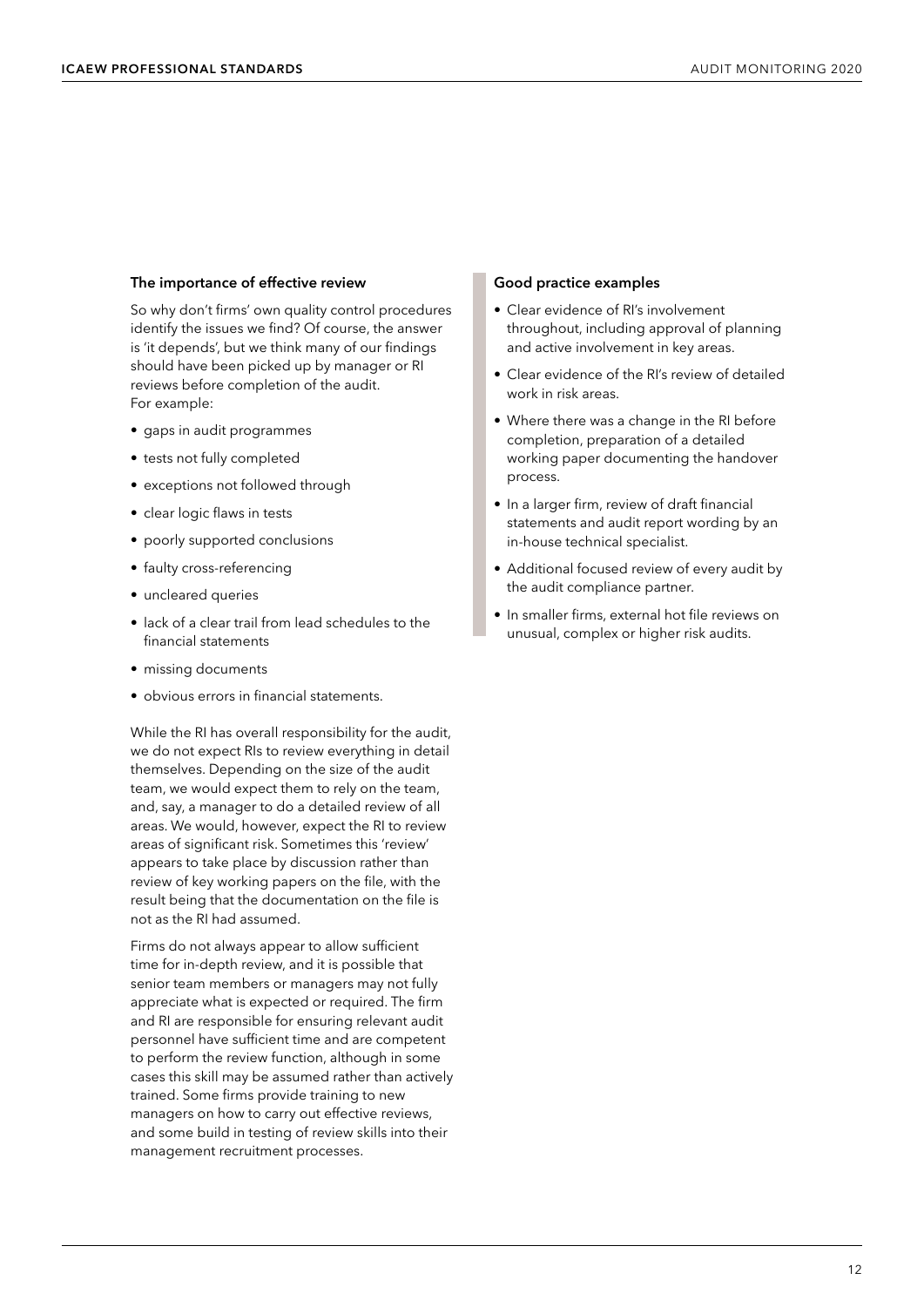#### **The importance of effective review**

So why don't firms' own quality control procedures identify the issues we find? Of course, the answer is 'it depends', but we think many of our findings should have been picked up by manager or RI reviews before completion of the audit. For example:

- gaps in audit programmes
- tests not fully completed
- exceptions not followed through
- clear logic flaws in tests
- poorly supported conclusions
- faulty cross-referencing
- uncleared queries
- lack of a clear trail from lead schedules to the financial statements
- missing documents
- obvious errors in financial statements.

While the RI has overall responsibility for the audit, we do not expect RIs to review everything in detail themselves. Depending on the size of the audit team, we would expect them to rely on the team, and, say, a manager to do a detailed review of all areas. We would, however, expect the RI to review areas of significant risk. Sometimes this 'review' appears to take place by discussion rather than review of key working papers on the file, with the result being that the documentation on the file is not as the RI had assumed.

Firms do not always appear to allow sufficient time for in-depth review, and it is possible that senior team members or managers may not fully appreciate what is expected or required. The firm and RI are responsible for ensuring relevant audit personnel have sufficient time and are competent to perform the review function, although in some cases this skill may be assumed rather than actively trained. Some firms provide training to new managers on how to carry out effective reviews, and some build in testing of review skills into their management recruitment processes.

#### **Good practice examples**

- Clear evidence of RI's involvement throughout, including approval of planning and active involvement in key areas.
- Clear evidence of the RI's review of detailed work in risk areas.
- Where there was a change in the RI before completion, preparation of a detailed working paper documenting the handover process.
- In a larger firm, review of draft financial statements and audit report wording by an in-house technical specialist.
- Additional focused review of every audit by the audit compliance partner.
- In smaller firms, external hot file reviews on unusual, complex or higher risk audits.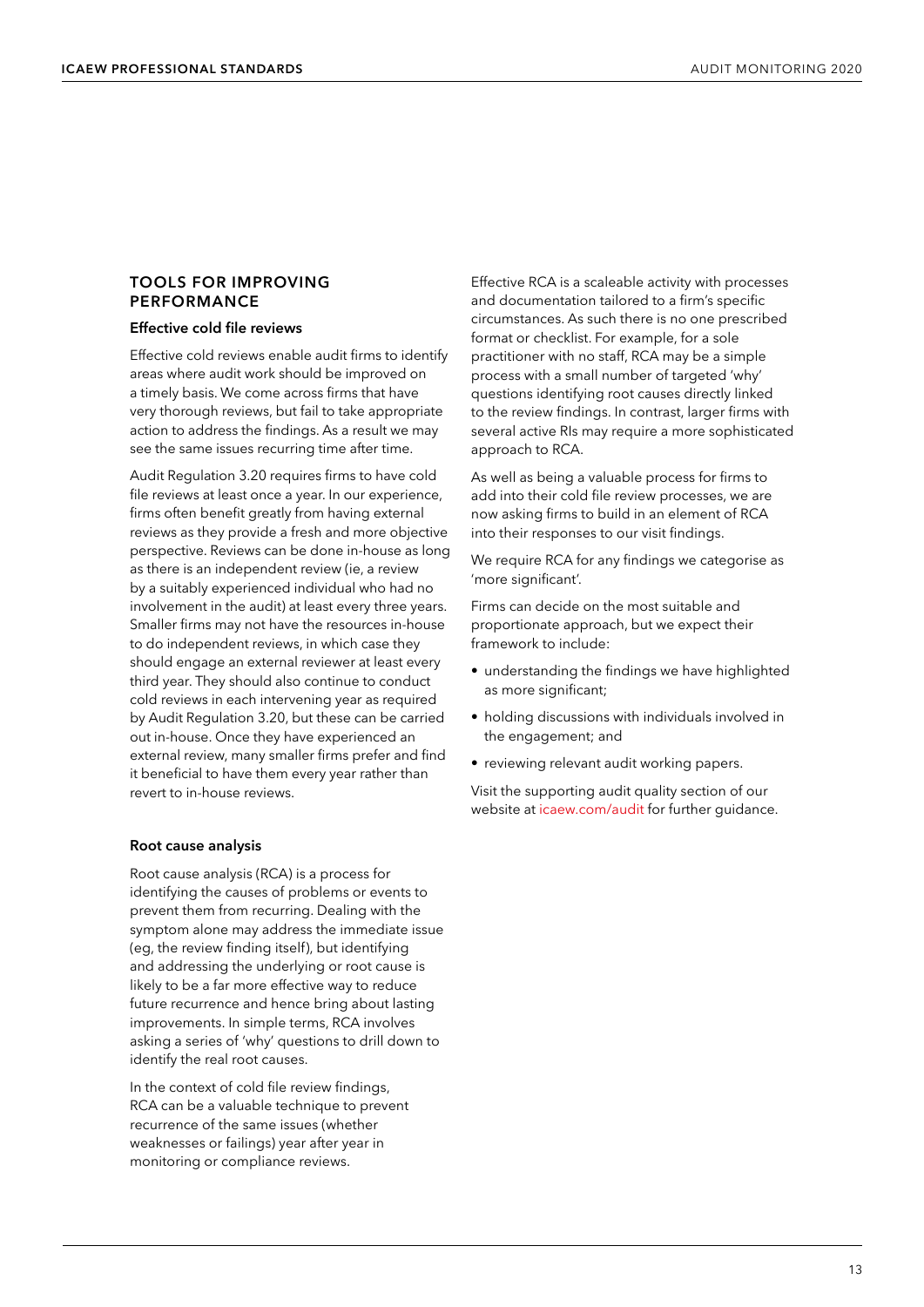#### <span id="page-14-0"></span>**TOOLS FOR IMPROVING PERFORMANCE**

#### **Effective cold file reviews**

Effective cold reviews enable audit firms to identify areas where audit work should be improved on a timely basis. We come across firms that have very thorough reviews, but fail to take appropriate action to address the findings. As a result we may see the same issues recurring time after time.

Audit Regulation 3.20 requires firms to have cold file reviews at least once a year. In our experience, firms often benefit greatly from having external reviews as they provide a fresh and more objective perspective. Reviews can be done in-house as long as there is an independent review (ie, a review by a suitably experienced individual who had no involvement in the audit) at least every three years. Smaller firms may not have the resources in-house to do independent reviews, in which case they should engage an external reviewer at least every third year. They should also continue to conduct cold reviews in each intervening year as required by Audit Regulation 3.20, but these can be carried out in-house. Once they have experienced an external review, many smaller firms prefer and find it beneficial to have them every year rather than revert to in-house reviews.

#### **Root cause analysis**

Root cause analysis (RCA) is a process for identifying the causes of problems or events to prevent them from recurring. Dealing with the symptom alone may address the immediate issue (eg, the review finding itself), but identifying and addressing the underlying or root cause is likely to be a far more effective way to reduce future recurrence and hence bring about lasting improvements. In simple terms, RCA involves asking a series of 'why' questions to drill down to identify the real root causes.

In the context of cold file review findings, RCA can be a valuable technique to prevent recurrence of the same issues (whether weaknesses or failings) year after year in monitoring or compliance reviews.

Effective RCA is a scaleable activity with processes and documentation tailored to a firm's specific circumstances. As such there is no one prescribed format or checklist. For example, for a sole practitioner with no staff, RCA may be a simple process with a small number of targeted 'why' questions identifying root causes directly linked to the review findings. In contrast, larger firms with several active RIs may require a more sophisticated approach to RCA.

As well as being a valuable process for firms to add into their cold file review processes, we are now asking firms to build in an element of RCA into their responses to our visit findings.

We require RCA for any findings we categorise as 'more significant'.

Firms can decide on the most suitable and proportionate approach, but we expect their framework to include:

- understanding the findings we have highlighted as more significant;
- holding discussions with individuals involved in the engagement; and
- reviewing relevant audit working papers.

Visit the supporting audit quality section of our website at [icaew.com/audit](www.icaew.com/audit) for further guidance.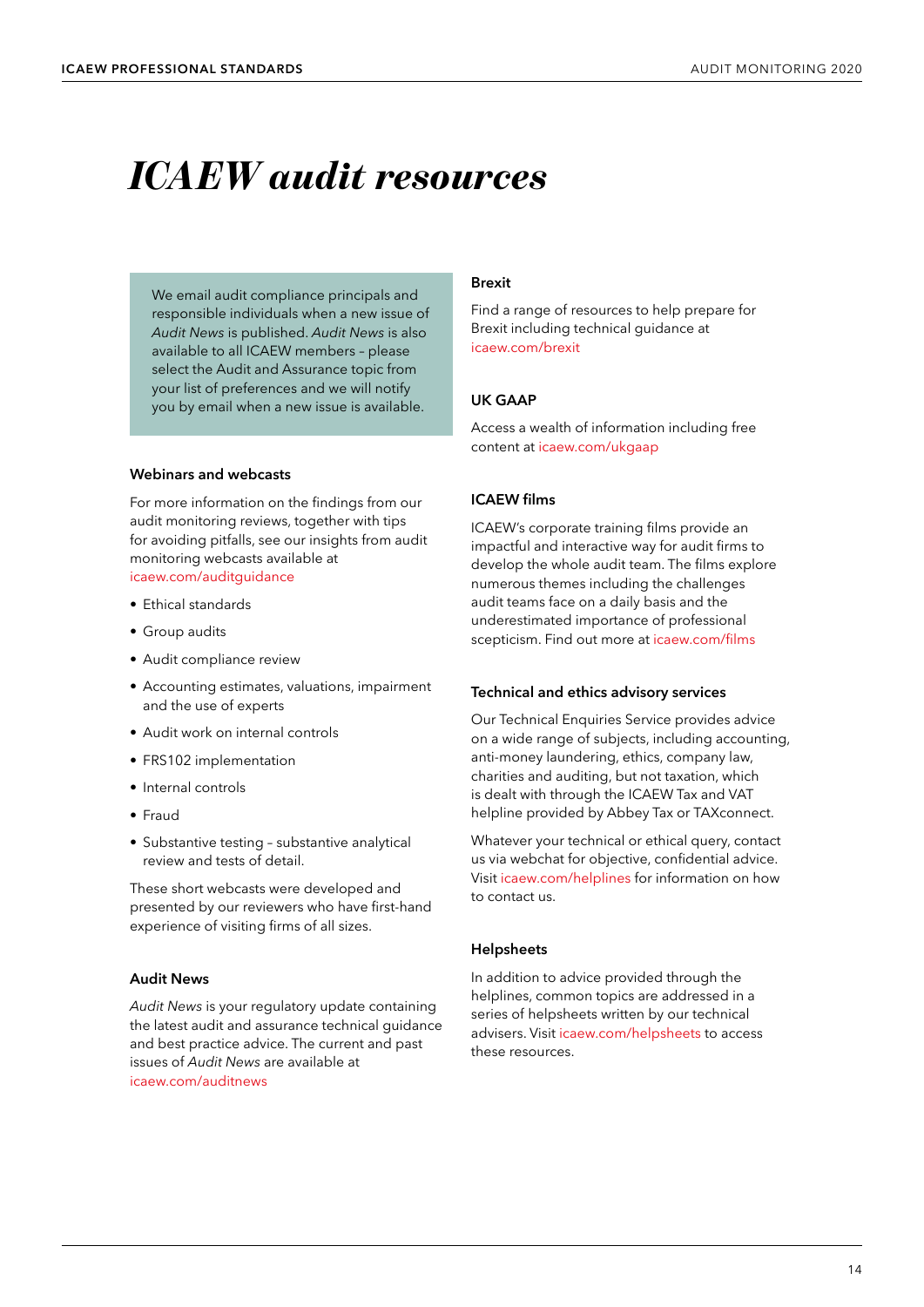# <span id="page-15-0"></span>*ICAEW audit resources*

We email audit compliance principals and responsible individuals when a new issue of *Audit News* is published. *Audit News* is also available to all ICAEW members – please select the Audit and Assurance topic from your list of preferences and we will notify you by email when a new issue is available.

#### **Webinars and webcasts**

For more information on the findings from our audit monitoring reviews, together with tips for avoiding pitfalls, see our insights from audit monitoring webcasts available at [icaew.com/auditguidance](www.icaew.com/auditguidance)

- Ethical standards
- Group audits
- Audit compliance review
- Accounting estimates, valuations, impairment and the use of experts
- Audit work on internal controls
- FRS102 implementation
- Internal controls
- Fraud
- Substantive testing substantive analytical review and tests of detail.

These short webcasts were developed and presented by our reviewers who have first-hand experience of visiting firms of all sizes.

#### **Audit News**

*Audit News* is your regulatory update containing the latest audit and assurance technical guidance and best practice advice. The current and past issues of *Audit News* are available at [icaew.com/auditnews](www.icaew.com/auditnews)

#### **Brexit**

Find a range of resources to help prepare for Brexit including technical guidance at [icaew.com/brexit](www.icaew.com/brexit)

#### **UK GAAP**

Access a wealth of information including free content at [icaew.com/ukgaap](www.icaew.com/ukgaap)

#### **ICAEW films**

ICAEW's corporate training films provide an impactful and interactive way for audit firms to develop the whole audit team. The films explore numerous themes including the challenges audit teams face on a daily basis and the underestimated importance of professional scepticism. Find out more at [icaew.com/films](www.icaew.com/films)

#### **Technical and ethics advisory services**

Our Technical Enquiries Service provides advice on a wide range of subjects, including accounting, anti-money laundering, ethics, company law, charities and auditing, but not taxation, which is dealt with through the ICAEW Tax and VAT helpline provided by Abbey Tax or TAXconnect.

Whatever your technical or ethical query, contact us via webchat for objective, confidential advice. Visit [icaew.com/helplines](www.icaew.com/helplines) for information on how to contact us.

#### **Helpsheets**

In addition to advice provided through the helplines, common topics are addressed in a series of helpsheets written by our technical advisers. Visit [icaew.com/helpsheets](www.icaew.com/helpsheets) to access these resources.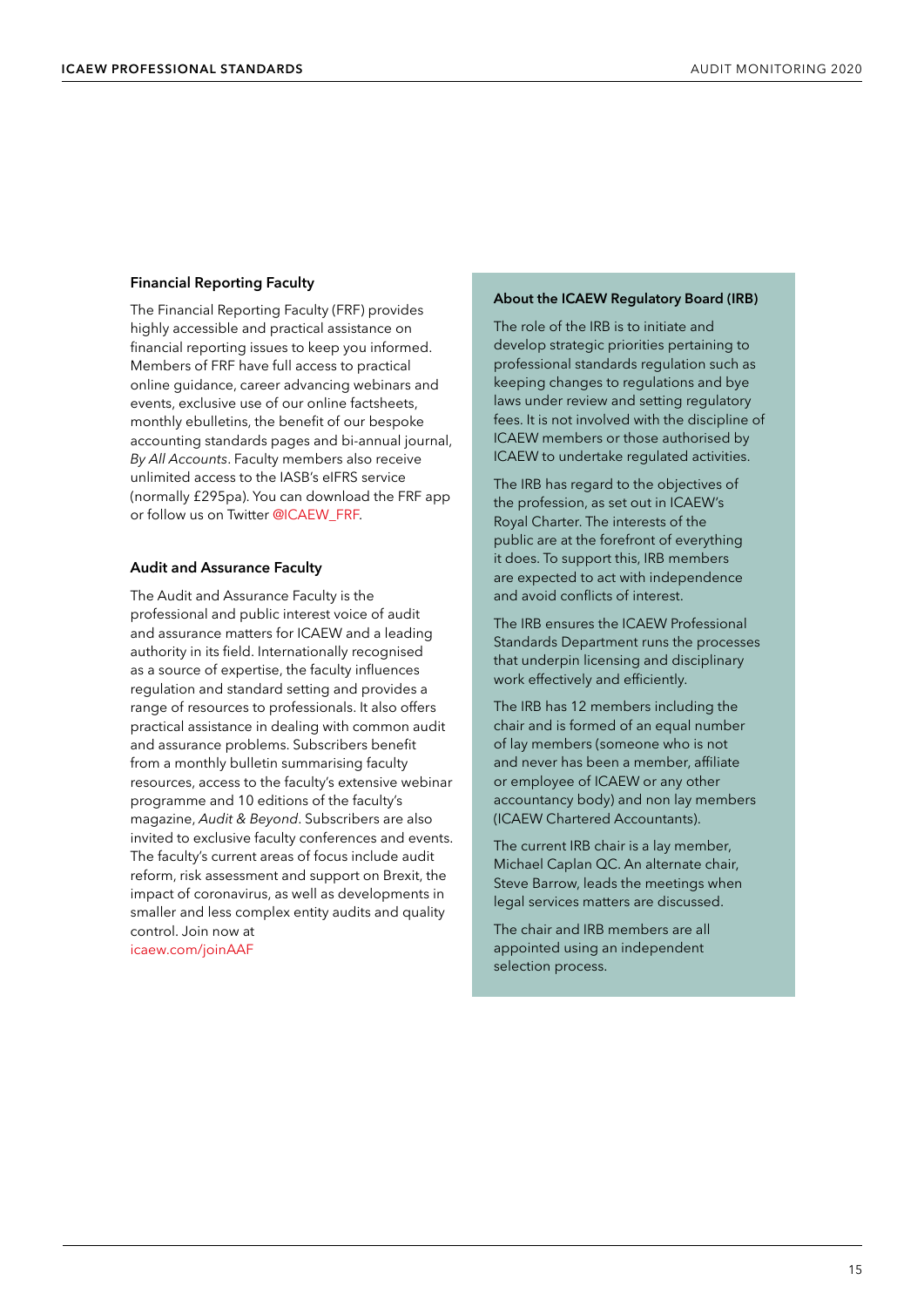#### **Financial Reporting Faculty**

The Financial Reporting Faculty (FRF) provides highly accessible and practical assistance on financial reporting issues to keep you informed. Members of FRF have full access to practical online guidance, career advancing webinars and events, exclusive use of our online factsheets, monthly ebulletins, the benefit of our bespoke accounting standards pages and bi-annual journal, *By All Accounts*. Faculty members also receive unlimited access to the IASB's eIFRS service (normally £295pa). You can download the FRF app or follow us on Twitter [@ICAEW\\_FRF](www.twitter.com/ICAEW_FRF).

#### **Audit and Assurance Faculty**

The Audit and Assurance Faculty is the professional and public interest voice of audit and assurance matters for ICAEW and a leading authority in its field. Internationally recognised as a source of expertise, the faculty influences regulation and standard setting and provides a range of resources to professionals. It also offers practical assistance in dealing with common audit and assurance problems. Subscribers benefit from a monthly bulletin summarising faculty resources, access to the faculty's extensive webinar programme and 10 editions of the faculty's magazine, *Audit & Beyond*. Subscribers are also invited to exclusive faculty conferences and events. The faculty's current areas of focus include audit reform, risk assessment and support on Brexit, the impact of coronavirus, as well as developments in smaller and less complex entity audits and quality control. Join now at [icaew.com/joinAAF](www.icaew.com/joinAAF)

#### **About the ICAEW Regulatory Board (IRB)**

The role of the IRB is to initiate and develop strategic priorities pertaining to professional standards regulation such as keeping changes to regulations and bye laws under review and setting regulatory fees. It is not involved with the discipline of ICAEW members or those authorised by ICAEW to undertake regulated activities.

The IRB has regard to the objectives of the profession, as set out in ICAEW's Royal Charter. The interests of the public are at the forefront of everything it does. To support this, IRB members are expected to act with independence and avoid conflicts of interest.

The IRB ensures the ICAEW Professional Standards Department runs the processes that underpin licensing and disciplinary work effectively and efficiently.

The IRB has 12 members including the chair and is formed of an equal number of lay members (someone who is not and never has been a member, affiliate or employee of ICAEW or any other accountancy body) and non lay members (ICAEW Chartered Accountants).

The current IRB chair is a lay member, Michael Caplan QC. An alternate chair, Steve Barrow, leads the meetings when legal services matters are discussed.

The chair and IRB members are all appointed using an independent selection process.